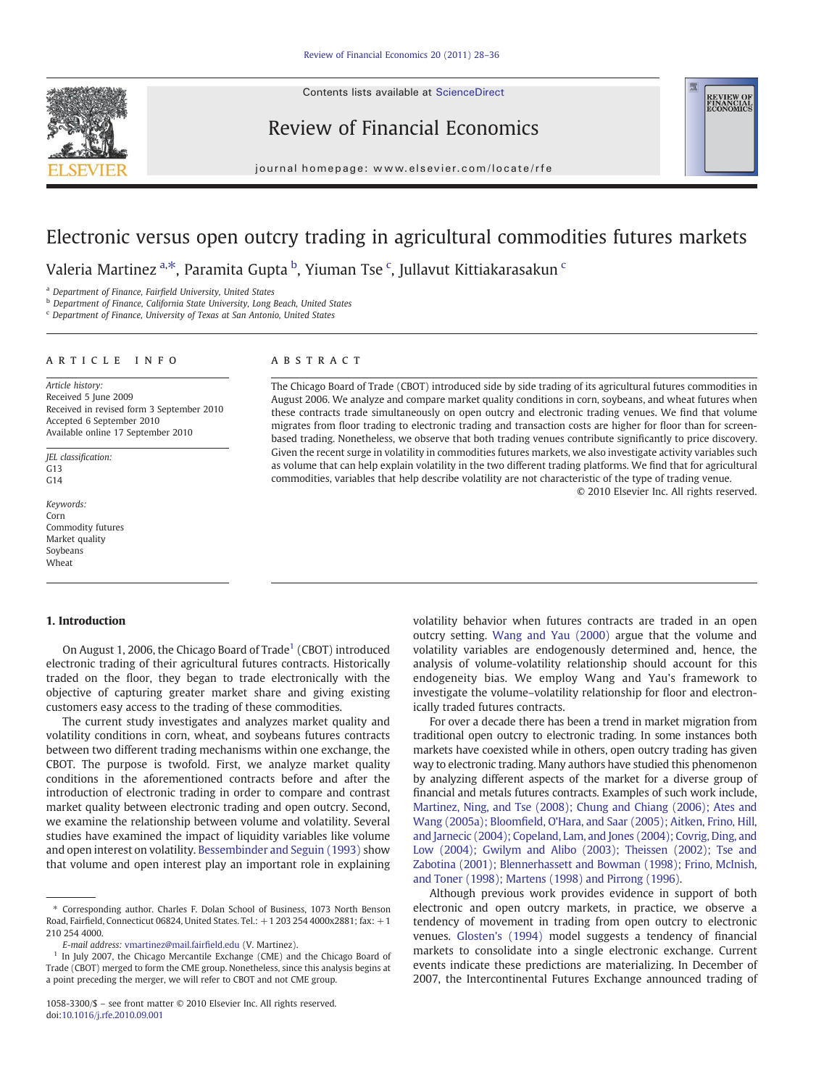Contents lists available at ScienceDirect



Review of Financial Economics

**REVIEW OF**<br>FINANCIAL

#### journal homepage: www.elsevier.com/locate/rfe

## Electronic versus open outcry trading in agricultural commodities futures markets

Valeria Martinez <sup>a,\*</sup>, Paramita Gupta <sup>b</sup>, Yiuman Tse <sup>c</sup>, Jullavut Kittiakarasakun <sup>c</sup>

<sup>a</sup> Department of Finance, Fairfield University, United States

**b** Department of Finance, California State University, Long Beach, United States

<sup>c</sup> Department of Finance, University of Texas at San Antonio, United States

### article info abstract

Article history: Received 5 June 2009 Received in revised form 3 September 2010 Accepted 6 September 2010 Available online 17 September 2010

JEL classification:  $G13$  $G<sub>14</sub>$ 

Keywords: Corn Commodity futures Market quality Soybeans **Wheat** 

#### 1. Introduction

On August 1, 2006, the Chicago Board of Trade<sup>1</sup> (CBOT) introduced electronic trading of their agricultural futures contracts. Historically traded on the floor, they began to trade electronically with the objective of capturing greater market share and giving existing customers easy access to the trading of these commodities.

The current study investigates and analyzes market quality and volatility conditions in corn, wheat, and soybeans futures contracts between two different trading mechanisms within one exchange, the CBOT. The purpose is twofold. First, we analyze market quality conditions in the aforementioned contracts before and after the introduction of electronic trading in order to compare and contrast market quality between electronic trading and open outcry. Second, we examine the relationship between volume and volatility. Several studies have examined the impact of liquidity variables like volume and open interest on volatility. [Bessembinder and Seguin \(1993\)](#page--1-0) show that volume and open interest play an important role in explaining

The Chicago Board of Trade (CBOT) introduced side by side trading of its agricultural futures commodities in August 2006. We analyze and compare market quality conditions in corn, soybeans, and wheat futures when these contracts trade simultaneously on open outcry and electronic trading venues. We find that volume migrates from floor trading to electronic trading and transaction costs are higher for floor than for screenbased trading. Nonetheless, we observe that both trading venues contribute significantly to price discovery. Given the recent surge in volatility in commodities futures markets, we also investigate activity variables such as volume that can help explain volatility in the two different trading platforms. We find that for agricultural commodities, variables that help describe volatility are not characteristic of the type of trading venue.

© 2010 Elsevier Inc. All rights reserved.

volatility behavior when futures contracts are traded in an open outcry setting. [Wang and Yau \(2000\)](#page--1-0) argue that the volume and volatility variables are endogenously determined and, hence, the analysis of volume-volatility relationship should account for this endogeneity bias. We employ Wang and Yau's framework to investigate the volume–volatility relationship for floor and electronically traded futures contracts.

For over a decade there has been a trend in market migration from traditional open outcry to electronic trading. In some instances both markets have coexisted while in others, open outcry trading has given way to electronic trading. Many authors have studied this phenomenon by analyzing different aspects of the market for a diverse group of financial and metals futures contracts. Examples of such work include, [Martinez, Ning, and Tse \(2008\); Chung and Chiang \(2006\); Ates and](#page--1-0) Wang (2005a); Bloomfi[eld, O'Hara, and Saar \(2005\); Aitken, Frino, Hill,](#page--1-0) [and Jarnecic \(2004\); Copeland, Lam, and Jones \(2004\); Covrig, Ding, and](#page--1-0) [Low \(2004\); Gwilym and Alibo \(2003\); Theissen \(2002\); Tse and](#page--1-0) [Zabotina \(2001\); Blennerhassett and Bowman \(1998\); Frino, McInish,](#page--1-0) [and Toner \(1998\); Martens \(1998\) and Pirrong \(1996\)](#page--1-0).

Although previous work provides evidence in support of both electronic and open outcry markets, in practice, we observe a tendency of movement in trading from open outcry to electronic venues. [Glosten's \(1994\)](#page--1-0) model suggests a tendency of financial markets to consolidate into a single electronic exchange. Current events indicate these predictions are materializing. In December of 2007, the Intercontinental Futures Exchange announced trading of

<sup>⁎</sup> Corresponding author. Charles F. Dolan School of Business, 1073 North Benson Road, Fairfield, Connecticut 06824, United States. Tel.: +1 203 254 4000x2881; fax: +1 210 254 4000.

E-mail address: [vmartinez@mail.fair](mailto:vmartinez@mail.fairfield.edu)field.edu (V. Martinez).

<sup>&</sup>lt;sup>1</sup> In July 2007, the Chicago Mercantile Exchange (CME) and the Chicago Board of Trade (CBOT) merged to form the CME group. Nonetheless, since this analysis begins at a point preceding the merger, we will refer to CBOT and not CME group.

<sup>1058-3300/\$</sup> – see front matter © 2010 Elsevier Inc. All rights reserved. doi[:10.1016/j.rfe.2010.09.001](http://dx.doi.org/10.1016/j.rfe.2010.09.001)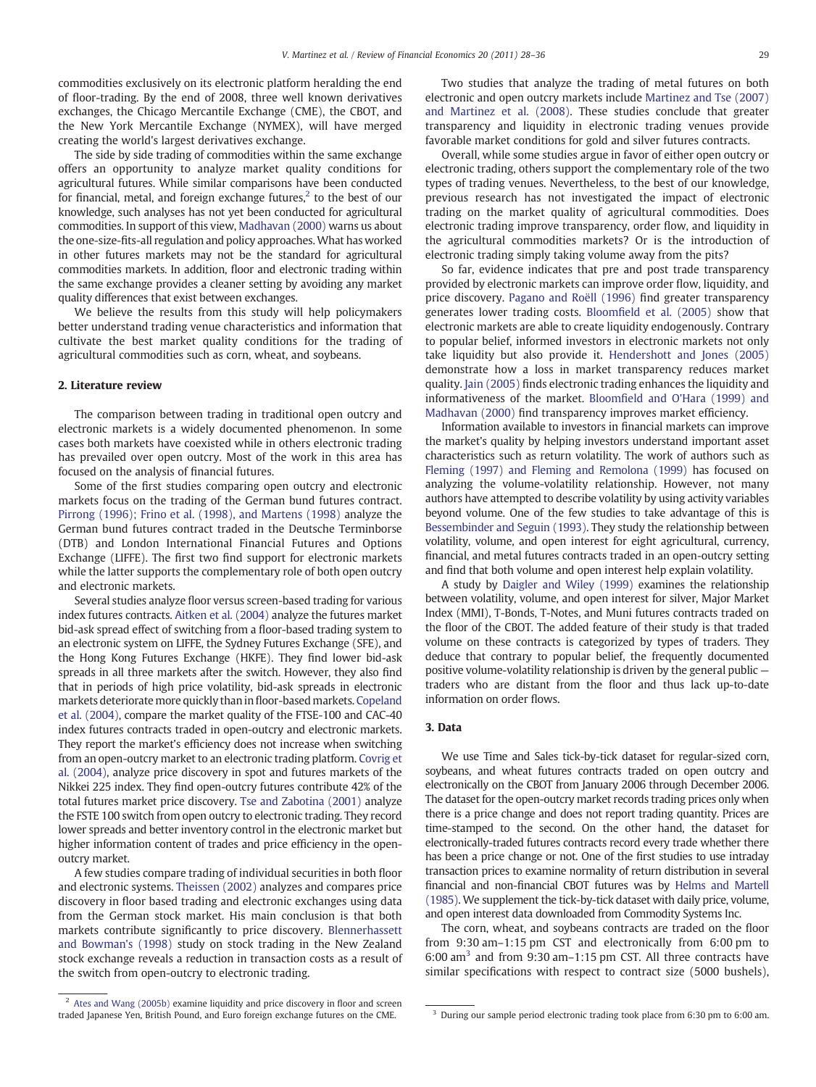commodities exclusively on its electronic platform heralding the end of floor-trading. By the end of 2008, three well known derivatives exchanges, the Chicago Mercantile Exchange (CME), the CBOT, and the New York Mercantile Exchange (NYMEX), will have merged creating the world's largest derivatives exchange.

The side by side trading of commodities within the same exchange offers an opportunity to analyze market quality conditions for agricultural futures. While similar comparisons have been conducted for financial, metal, and foreign exchange futures, $2$  to the best of our knowledge, such analyses has not yet been conducted for agricultural commodities. In support of this view, [Madhavan \(2000\)](#page--1-0) warns us about the one-size-fits-all regulation and policy approaches. What has worked in other futures markets may not be the standard for agricultural commodities markets. In addition, floor and electronic trading within the same exchange provides a cleaner setting by avoiding any market quality differences that exist between exchanges.

We believe the results from this study will help policymakers better understand trading venue characteristics and information that cultivate the best market quality conditions for the trading of agricultural commodities such as corn, wheat, and soybeans.

#### 2. Literature review

The comparison between trading in traditional open outcry and electronic markets is a widely documented phenomenon. In some cases both markets have coexisted while in others electronic trading has prevailed over open outcry. Most of the work in this area has focused on the analysis of financial futures.

Some of the first studies comparing open outcry and electronic markets focus on the trading of the German bund futures contract. [Pirrong \(1996\); Frino et al. \(1998\), and Martens \(1998\)](#page--1-0) analyze the German bund futures contract traded in the Deutsche Terminborse (DTB) and London International Financial Futures and Options Exchange (LIFFE). The first two find support for electronic markets while the latter supports the complementary role of both open outcry and electronic markets.

Several studies analyze floor versus screen-based trading for various index futures contracts. [Aitken et al. \(2004\)](#page--1-0) analyze the futures market bid-ask spread effect of switching from a floor-based trading system to an electronic system on LIFFE, the Sydney Futures Exchange (SFE), and the Hong Kong Futures Exchange (HKFE). They find lower bid-ask spreads in all three markets after the switch. However, they also find that in periods of high price volatility, bid-ask spreads in electronic markets deteriorate more quickly than in floor-based markets. [Copeland](#page--1-0) [et al. \(2004\),](#page--1-0) compare the market quality of the FTSE-100 and CAC-40 index futures contracts traded in open-outcry and electronic markets. They report the market's efficiency does not increase when switching from an open-outcry market to an electronic trading platform. [Covrig et](#page--1-0) [al. \(2004\),](#page--1-0) analyze price discovery in spot and futures markets of the Nikkei 225 index. They find open-outcry futures contribute 42% of the total futures market price discovery. [Tse and Zabotina \(2001\)](#page--1-0) analyze the FSTE 100 switch from open outcry to electronic trading. They record lower spreads and better inventory control in the electronic market but higher information content of trades and price efficiency in the openoutcry market.

A few studies compare trading of individual securities in both floor and electronic systems. [Theissen \(2002\)](#page--1-0) analyzes and compares price discovery in floor based trading and electronic exchanges using data from the German stock market. His main conclusion is that both markets contribute significantly to price discovery. [Blennerhassett](#page--1-0) [and Bowman's \(1998\)](#page--1-0) study on stock trading in the New Zealand stock exchange reveals a reduction in transaction costs as a result of the switch from open-outcry to electronic trading.

Two studies that analyze the trading of metal futures on both electronic and open outcry markets include [Martinez and Tse \(2007\)](#page--1-0) [and Martinez et al. \(2008\)](#page--1-0). These studies conclude that greater transparency and liquidity in electronic trading venues provide favorable market conditions for gold and silver futures contracts.

Overall, while some studies argue in favor of either open outcry or electronic trading, others support the complementary role of the two types of trading venues. Nevertheless, to the best of our knowledge, previous research has not investigated the impact of electronic trading on the market quality of agricultural commodities. Does electronic trading improve transparency, order flow, and liquidity in the agricultural commodities markets? Or is the introduction of electronic trading simply taking volume away from the pits?

So far, evidence indicates that pre and post trade transparency provided by electronic markets can improve order flow, liquidity, and price discovery. [Pagano and Roëll \(1996\)](#page--1-0) find greater transparency generates lower trading costs. Bloomfi[eld et al. \(2005\)](#page--1-0) show that electronic markets are able to create liquidity endogenously. Contrary to popular belief, informed investors in electronic markets not only take liquidity but also provide it. [Hendershott and Jones \(2005\)](#page--1-0) demonstrate how a loss in market transparency reduces market quality. [Jain \(2005\)](#page--1-0) finds electronic trading enhances the liquidity and informativeness of the market. Bloomfi[eld and O'Hara \(1999\) and](#page--1-0) [Madhavan \(2000\)](#page--1-0) find transparency improves market efficiency.

Information available to investors in financial markets can improve the market's quality by helping investors understand important asset characteristics such as return volatility. The work of authors such as [Fleming \(1997\) and Fleming and Remolona \(1999\)](#page--1-0) has focused on analyzing the volume-volatility relationship. However, not many authors have attempted to describe volatility by using activity variables beyond volume. One of the few studies to take advantage of this is [Bessembinder and Seguin \(1993\)](#page--1-0). They study the relationship between volatility, volume, and open interest for eight agricultural, currency, financial, and metal futures contracts traded in an open-outcry setting and find that both volume and open interest help explain volatility.

A study by [Daigler and Wiley \(1999\)](#page--1-0) examines the relationship between volatility, volume, and open interest for silver, Major Market Index (MMI), T-Bonds, T-Notes, and Muni futures contracts traded on the floor of the CBOT. The added feature of their study is that traded volume on these contracts is categorized by types of traders. They deduce that contrary to popular belief, the frequently documented positive volume-volatility relationship is driven by the general public traders who are distant from the floor and thus lack up-to-date information on order flows.

#### 3. Data

We use Time and Sales tick-by-tick dataset for regular-sized corn, soybeans, and wheat futures contracts traded on open outcry and electronically on the CBOT from January 2006 through December 2006. The dataset for the open-outcry market records trading prices only when there is a price change and does not report trading quantity. Prices are time-stamped to the second. On the other hand, the dataset for electronically-traded futures contracts record every trade whether there has been a price change or not. One of the first studies to use intraday transaction prices to examine normality of return distribution in several financial and non-financial CBOT futures was by [Helms and Martell](#page--1-0) [\(1985\).](#page--1-0) We supplement the tick-by-tick dataset with daily price, volume, and open interest data downloaded from Commodity Systems Inc.

The corn, wheat, and soybeans contracts are traded on the floor from 9:30 am–1:15 pm CST and electronically from 6:00 pm to  $6:00$  am<sup>3</sup> and from 9:30 am–1:15 pm CST. All three contracts have similar specifications with respect to contract size (5000 bushels),

<sup>&</sup>lt;sup>2</sup> [Ates and Wang \(2005b\)](#page--1-0) examine liquidity and price discovery in floor and screen traded Japanese Yen, British Pound, and Euro foreign exchange futures on the CME. <sup>3</sup> During our sample period electronic trading took place from 6:30 pm to 6:00 am.